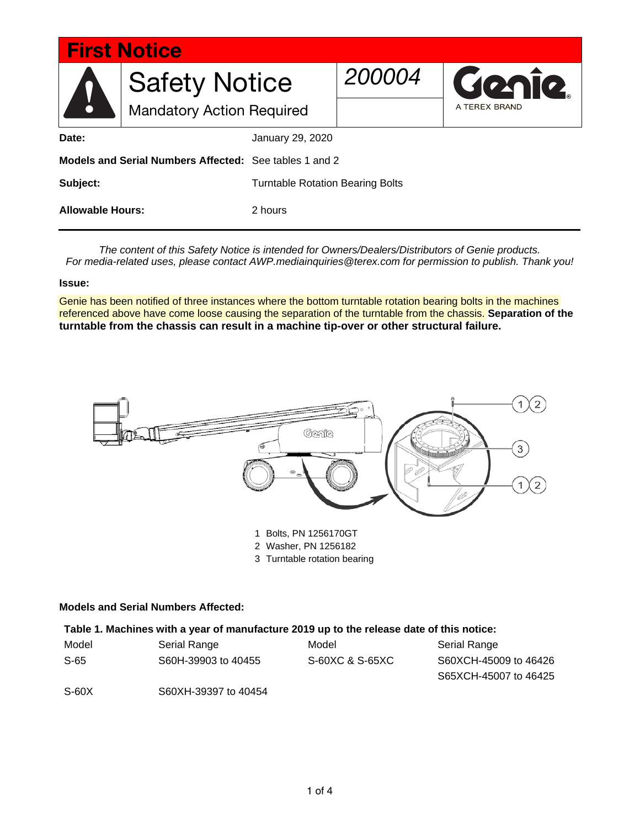| <b>First Notice</b>                                    |                                  |                                         |        |               |
|--------------------------------------------------------|----------------------------------|-----------------------------------------|--------|---------------|
|                                                        | <b>Safety Notice</b>             |                                         | 200004 | Genie.        |
| N                                                      | <b>Mandatory Action Required</b> |                                         |        | A TEREX BRAND |
| Date:                                                  |                                  | January 29, 2020                        |        |               |
| Models and Serial Numbers Affected: See tables 1 and 2 |                                  |                                         |        |               |
| Subject:                                               |                                  | <b>Turntable Rotation Bearing Bolts</b> |        |               |
| <b>Allowable Hours:</b>                                |                                  | 2 hours                                 |        |               |

*The content of this Safety Notice is intended for Owners/Dealers/Distributors of Genie products. For media-related uses, please contact AWP.mediainquiries@terex.com for permission to publish. Thank you!*

#### **Issue:**

Genie has been notified of three instances where the bottom turntable rotation bearing bolts in the machines referenced above have come loose causing the separation of the turntable from the chassis. **Separation of the turntable from the chassis can result in a machine tip-over or other structural failure.** 



- 2 Washer, PN 1256182
- 3 Turntable rotation bearing

#### **Models and Serial Numbers Affected:**

#### **Table 1. Machines with a year of manufacture 2019 up to the release date of this notice:**

| Model | Serial Range         | Model           | Serial Range          |
|-------|----------------------|-----------------|-----------------------|
| S-65  | S60H-39903 to 40455  | S-60XC & S-65XC | S60XCH-45009 to 46426 |
|       |                      |                 | S65XCH-45007 to 46425 |
| S-60X | S60XH-39397 to 40454 |                 |                       |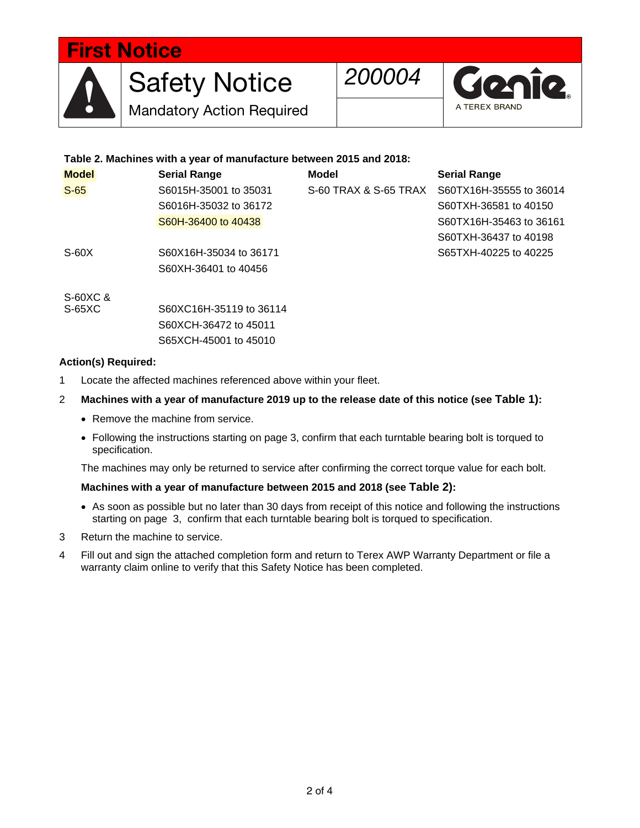# First Notice



Mandatory Action Required



### **Table 2. Machines with a year of manufacture between 2015 and 2018:**

| <b>Model</b> | <b>Serial Range</b>     | <b>Model</b>          | <b>Serial Range</b>     |
|--------------|-------------------------|-----------------------|-------------------------|
| $S-65$       | S6015H-35001 to 35031   | S-60 TRAX & S-65 TRAX | S60TX16H-35555 to 36014 |
|              | S6016H-35032 to 36172   |                       | S60TXH-36581 to 40150   |
|              | S60H-36400 to 40438     |                       | S60TX16H-35463 to 36161 |
|              |                         |                       | S60TXH-36437 to 40198   |
| $S-60X$      | S60X16H-35034 to 36171  |                       | S65TXH-40225 to 40225   |
|              | S60XH-36401 to 40456    |                       |                         |
| S-60XC &     |                         |                       |                         |
| $S-65XC$     | S60XC16H-35119 to 36114 |                       |                         |
|              | S60XCH-36472 to 45011   |                       |                         |
|              | S65XCH-45001 to 45010   |                       |                         |

#### **Action(s) Required:**

- 1 Locate the affected machines referenced above within your fleet.
- 2 **Machines with a year of manufacture 2019 up to the release date of this notice (see Table 1):**
	- Remove the machine from service.
	- Following the instructions starting on page 3, confirm that each turntable bearing bolt is torqued to specification.

The machines may only be returned to service after confirming the correct torque value for each bolt.

#### **Machines with a year of manufacture between 2015 and 2018 (see Table 2):**

- As soon as possible but no later than 30 days from receipt of this notice and following the instructions starting on page 3, confirm that each turntable bearing bolt is torqued to specification.
- 3 Return the machine to service.
- 4 Fill out and sign the attached completion form and return to Terex AWP Warranty Department or file a warranty claim online to verify that this Safety Notice has been completed.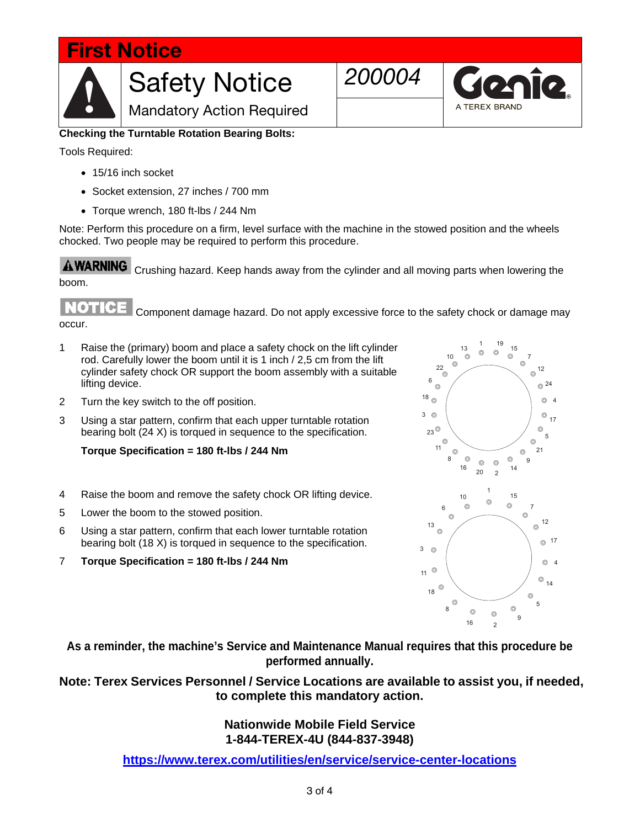# First Notice Safety Notice 200004<br>
Mandatory Action Required Mandatory Action Required



Tools Required:

- 15/16 inch socket
- Socket extension, 27 inches / 700 mm
- Torque wrench, 180 ft-lbs / 244 Nm

Note: Perform this procedure on a firm, level surface with the machine in the stowed position and the wheels chocked. Two people may be required to perform this procedure.

**AWARNING**  Crushing hazard. Keep hands away from the cylinder and all moving parts when lowering the boom.

ROTO Component damage hazard. Do not apply excessive force to the safety chock or damage may occur.

- 1 Raise the (primary) boom and place a safety chock on the lift cylinder rod. Carefully lower the boom until it is 1 inch / 2,5 cm from the lift cylinder safety chock OR support the boom assembly with a suitable lifting device.
- 2 Turn the key switch to the off position.
- 3 Using a star pattern, confirm that each upper turntable rotation bearing bolt (24 X) is torqued in sequence to the specification.

#### **Torque Specification = 180 ft-lbs / 244 Nm**

- 4 Raise the boom and remove the safety chock OR lifting device.
- 5 Lower the boom to the stowed position.
- 6 Using a star pattern, confirm that each lower turntable rotation bearing bolt (18 X) is torqued in sequence to the specification.
- 7 **Torque Specification = 180 ft-lbs / 244 Nm**



**As a reminder, the machine's Service and Maintenance Manual requires that this procedure be performed annually.** 

**Note: Terex Services Personnel / Service Locations are available to assist you, if needed, to complete this mandatory action.** 

> **Nationwide Mobile Field Service 1-844-TEREX-4U (844-837-3948)**

**https://www.terex.com/utilities/en/service/service-center-locations**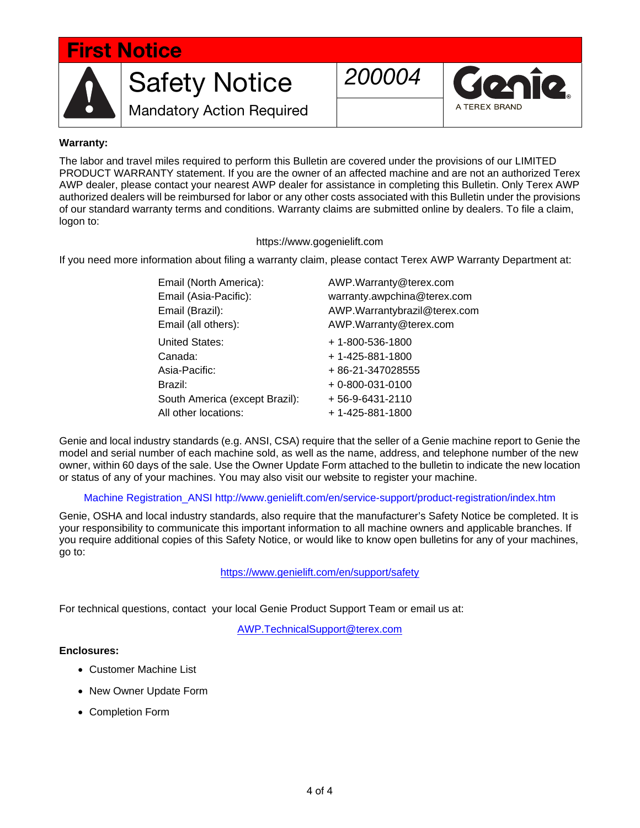# First Notice

Mandatory Action Required



#### **Warranty:**

The labor and travel miles required to perform this Bulletin are covered under the provisions of our LIMITED PRODUCT WARRANTY statement. If you are the owner of an affected machine and are not an authorized Terex AWP dealer, please contact your nearest AWP dealer for assistance in completing this Bulletin. Only Terex AWP authorized dealers will be reimbursed for labor or any other costs associated with this Bulletin under the provisions of our standard warranty terms and conditions. Warranty claims are submitted online by dealers. To file a claim, logon to:

#### https://www.gogenielift.com

If you need more information about filing a warranty claim, please contact Terex AWP Warranty Department at:

| Email (North America):         | AWP.Warranty@terex.com       |  |  |
|--------------------------------|------------------------------|--|--|
| Email (Asia-Pacific):          | warranty.awpchina@terex.com  |  |  |
| Email (Brazil):                | AWP.Warrantybrazil@terex.com |  |  |
| Email (all others):            | AWP.Warranty@terex.com       |  |  |
| <b>United States:</b>          | + 1-800-536-1800             |  |  |
| Canada:                        | +1-425-881-1800              |  |  |
| Asia-Pacific:                  | + 86-21-347028555            |  |  |
| Brazil:                        | $+0 - 800 - 031 - 0100$      |  |  |
| South America (except Brazil): | $+56-9-6431-2110$            |  |  |
| All other locations:           | +1-425-881-1800              |  |  |

Genie and local industry standards (e.g. ANSI, CSA) require that the seller of a Genie machine report to Genie the model and serial number of each machine sold, as well as the name, address, and telephone number of the new owner, within 60 days of the sale. Use the Owner Update Form attached to the bulletin to indicate the new location or status of any of your machines. You may also visit our website to register your machine.

Machine Registration\_ANSI http://www.genielift.com/en/service-support/product-registration/index.htm

Genie, OSHA and local industry standards, also require that the manufacturer's Safety Notice be completed. It is your responsibility to communicate this important information to all machine owners and applicable branches. If you require additional copies of this Safety Notice, or would like to know open bulletins for any of your machines, go to:

https://www.genielift.com/en/support/safety

For technical questions, contact your local Genie Product Support Team or email us at:

AWP.TechnicalSupport@terex.com

#### **Enclosures:**

- Customer Machine List
- New Owner Update Form
- Completion Form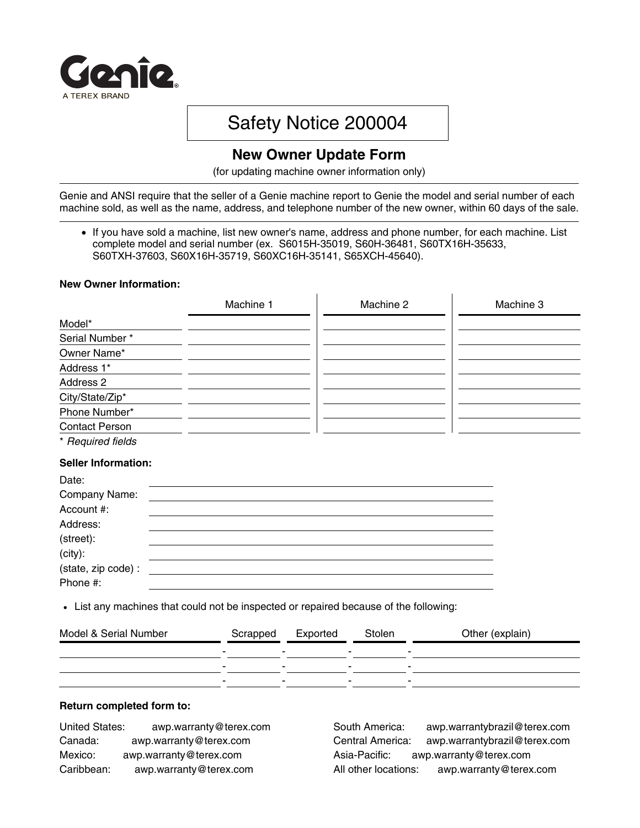

# Safety Notice 200004

## **New Owner Update Form**

(for updating machine owner information only)

Genie and ANSI require that the seller of a Genie machine report to Genie the model and serial number of each machine sold, as well as the name, address, and telephone number of the new owner, within 60 days of the sale.

 If you have sold a machine, list new owner's name, address and phone number, for each machine. List complete model and serial number (ex. S6015H-35019, S60H-36481, S60TX16H-35633, S60TXH-37603, S60X16H-35719, S60XC16H-35141, S65XCH-45640).

 $\mathbf{L}$ 

#### **New Owner Information:**

|                            | Machine 1 | Machine 2 | Machine 3 |
|----------------------------|-----------|-----------|-----------|
| Model*                     |           |           |           |
| Serial Number*             |           |           |           |
| Owner Name*                |           |           |           |
| Address 1*                 |           |           |           |
| Address 2                  |           |           |           |
| City/State/Zip*            |           |           |           |
| Phone Number*              |           |           |           |
| <b>Contact Person</b>      |           |           |           |
| * Required fields          |           |           |           |
| <b>Seller Information:</b> |           |           |           |
| Date:                      |           |           |           |
| Company Name:              |           |           |           |
| Account #:                 |           |           |           |
| Address:                   |           |           |           |
| (street):                  |           |           |           |
| $(city)$ :                 |           |           |           |
| (state, zip code) :        |           |           |           |
| Phone #:                   |           |           |           |

List any machines that could not be inspected or repaired because of the following:

| -                        |
|--------------------------|
| $\overline{\phantom{a}}$ |
| -<br>-                   |
|                          |

#### **Return completed form to:**

| <b>United States:</b> | awp.warranty@terex.com |
|-----------------------|------------------------|
| Canada:               | awp.warranty@terex.com |
| Mexico:               | awp.warranty@terex.com |
| Caribbean:            | awp.warranty@terex.com |

South America: awp.warrantybrazil@terex.com Central America: awp.warrantybrazil@terex.com Asia-Pacific: awp.warranty@terex.com All other locations: awp.warranty@terex.com

 $\mathbf{I}$